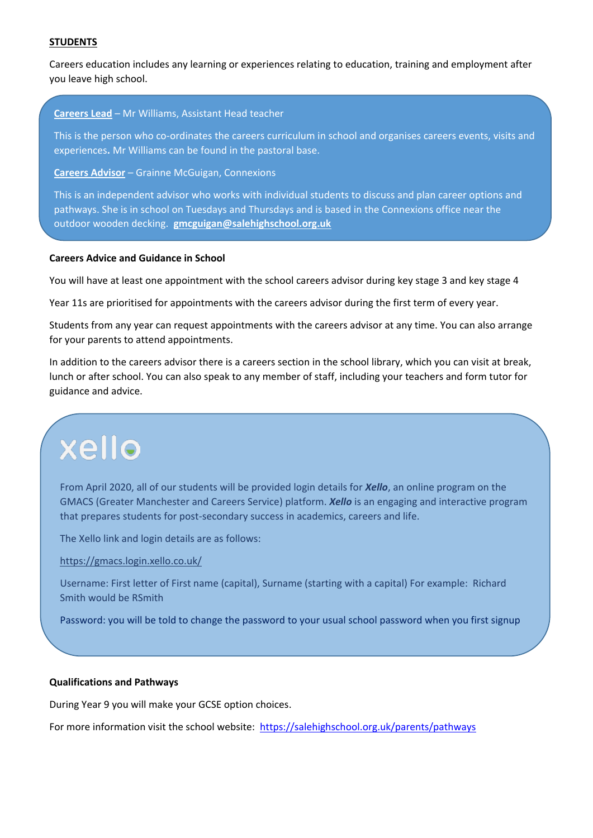### **STUDENTS**

Careers education includes any learning or experiences relating to education, training and employment after you leave high school.

#### **Careers Lead** – Mr Williams, Assistant Head teacher

This is the person who co-ordinates the careers curriculum in school and organises careers events, visits and experiences**.** Mr Williams can be found in the pastoral base.

**Careers Advisor** – Grainne McGuigan, Connexions

This is an independent advisor who works with individual students to discuss and plan career options and pathways. She is in school on Tuesdays and Thursdays and is based in the Connexions office near the outdoor wooden decking. **[gmcguigan@salehighschool.org.uk](mailto:gmcguigan@salehighschool.org.uk)** 

#### **Careers Advice and Guidance in School**

You will have at least one appointment with the school careers advisor during key stage 3 and key stage 4

Year 11s are prioritised for appointments with the careers advisor during the first term of every year.

Students from any year can request appointments with the careers advisor at any time. You can also arrange for your parents to attend appointments.

In addition to the careers advisor there is a careers section in the school library, which you can visit at break, lunch or after school. You can also speak to any member of staff, including your teachers and form tutor for guidance and advice.

# xello

From April 2020, all of our students will be provided login details for *Xello*, an online program on the GMACS (Greater Manchester and Careers Service) platform. *Xello* is an engaging and interactive program that prepares students for post-secondary success in academics, careers and life.

The Xello link and login details are as follows:

<https://gmacs.login.xello.co.uk/>

Username: First letter of First name (capital), Surname (starting with a capital) For example: Richard Smith would be RSmith

Password: you will be told to change the password to your usual school password when you first signup

### **Qualifications and Pathways**

During Year 9 you will make your GCSE option choices.

For more information visit the school website: <https://salehighschool.org.uk/parents/pathways>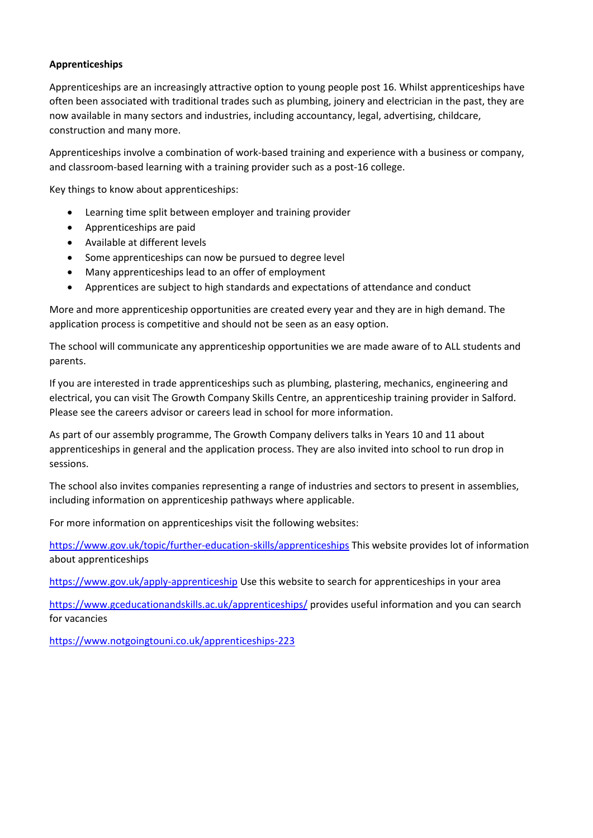## **Apprenticeships**

Apprenticeships are an increasingly attractive option to young people post 16. Whilst apprenticeships have often been associated with traditional trades such as plumbing, joinery and electrician in the past, they are now available in many sectors and industries, including accountancy, legal, advertising, childcare, construction and many more.

Apprenticeships involve a combination of work-based training and experience with a business or company, and classroom-based learning with a training provider such as a post-16 college.

Key things to know about apprenticeships:

- Learning time split between employer and training provider
- Apprenticeships are paid
- Available at different levels
- Some apprenticeships can now be pursued to degree level
- Many apprenticeships lead to an offer of employment
- Apprentices are subject to high standards and expectations of attendance and conduct

More and more apprenticeship opportunities are created every year and they are in high demand. The application process is competitive and should not be seen as an easy option.

The school will communicate any apprenticeship opportunities we are made aware of to ALL students and parents.

If you are interested in trade apprenticeships such as plumbing, plastering, mechanics, engineering and electrical, you can visit The Growth Company Skills Centre, an apprenticeship training provider in Salford. Please see the careers advisor or careers lead in school for more information.

As part of our assembly programme, The Growth Company delivers talks in Years 10 and 11 about apprenticeships in general and the application process. They are also invited into school to run drop in sessions.

The school also invites companies representing a range of industries and sectors to present in assemblies, including information on apprenticeship pathways where applicable.

For more information on apprenticeships visit the following websites:

<https://www.gov.uk/topic/further-education-skills/apprenticeships>This website provides lot of information about apprenticeships

<https://www.gov.uk/apply-apprenticeship>Use this website to search for apprenticeships in your area

<https://www.gceducationandskills.ac.uk/apprenticeships/>provides useful information and you can search for vacancies

<https://www.notgoingtouni.co.uk/apprenticeships-223>